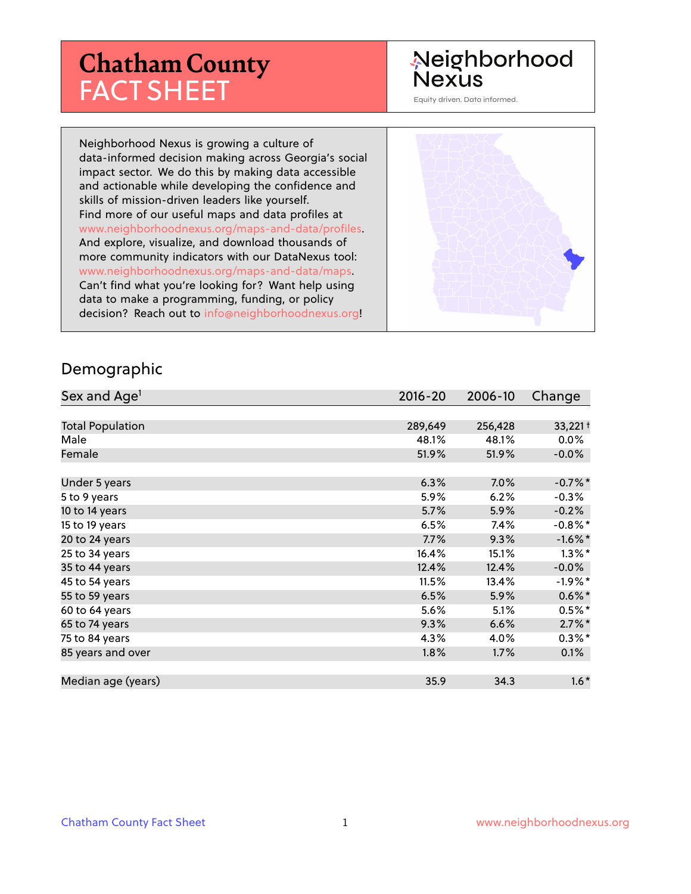## **Chatham County** FACT SHEET

### Neighborhood **Nexus**

Equity driven. Data informed.

Neighborhood Nexus is growing a culture of data-informed decision making across Georgia's social impact sector. We do this by making data accessible and actionable while developing the confidence and skills of mission-driven leaders like yourself. Find more of our useful maps and data profiles at www.neighborhoodnexus.org/maps-and-data/profiles. And explore, visualize, and download thousands of more community indicators with our DataNexus tool: www.neighborhoodnexus.org/maps-and-data/maps. Can't find what you're looking for? Want help using data to make a programming, funding, or policy decision? Reach out to [info@neighborhoodnexus.org!](mailto:info@neighborhoodnexus.org)



#### Demographic

| Sex and Age <sup>1</sup> | $2016 - 20$ | 2006-10 | Change                |
|--------------------------|-------------|---------|-----------------------|
|                          |             |         |                       |
| <b>Total Population</b>  | 289,649     | 256,428 | $33,221$ <sup>+</sup> |
| Male                     | 48.1%       | 48.1%   | $0.0\%$               |
| Female                   | 51.9%       | 51.9%   | $-0.0\%$              |
|                          |             |         |                       |
| Under 5 years            | 6.3%        | 7.0%    | $-0.7%$ *             |
| 5 to 9 years             | 5.9%        | 6.2%    | $-0.3%$               |
| 10 to 14 years           | 5.7%        | 5.9%    | $-0.2%$               |
| 15 to 19 years           | 6.5%        | 7.4%    | $-0.8\%$ *            |
| 20 to 24 years           | 7.7%        | 9.3%    | $-1.6\%$ *            |
| 25 to 34 years           | 16.4%       | 15.1%   | $1.3\%$ *             |
| 35 to 44 years           | 12.4%       | 12.4%   | $-0.0%$               |
| 45 to 54 years           | 11.5%       | 13.4%   | $-1.9%$ *             |
| 55 to 59 years           | 6.5%        | 5.9%    | $0.6\%$ *             |
| 60 to 64 years           | 5.6%        | 5.1%    | $0.5%$ *              |
| 65 to 74 years           | 9.3%        | 6.6%    | $2.7\%$ *             |
| 75 to 84 years           | 4.3%        | 4.0%    | $0.3\%$ *             |
| 85 years and over        | 1.8%        | 1.7%    | 0.1%                  |
|                          |             |         |                       |
| Median age (years)       | 35.9        | 34.3    | $1.6*$                |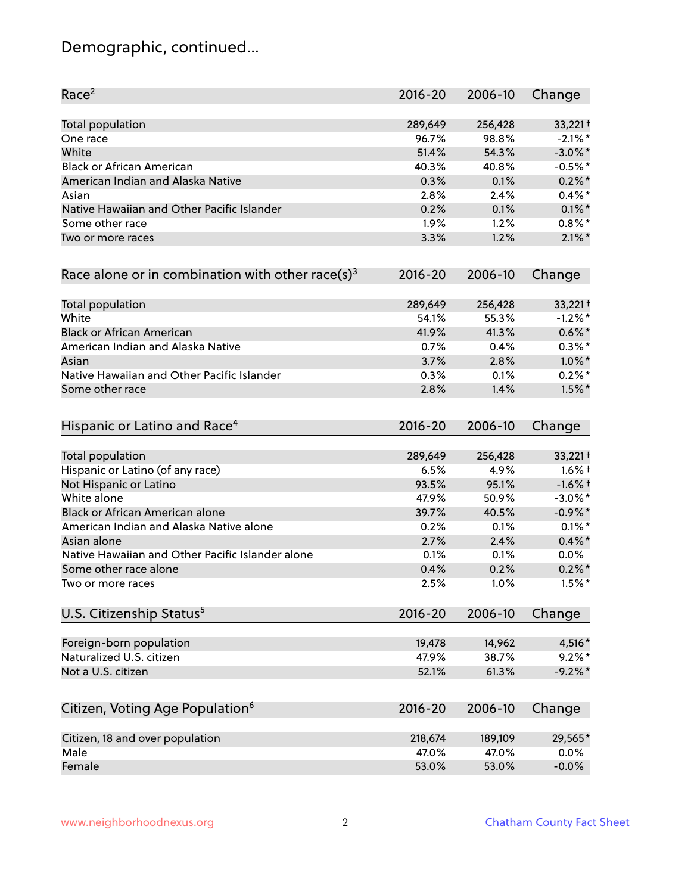### Demographic, continued...

| Race <sup>2</sup>                                   | $2016 - 20$ | 2006-10 | Change                |
|-----------------------------------------------------|-------------|---------|-----------------------|
| <b>Total population</b>                             | 289,649     | 256,428 | $33,221$ <sup>+</sup> |
| One race                                            | 96.7%       | 98.8%   | $-2.1\%$ *            |
| White                                               | 51.4%       | 54.3%   | $-3.0\%$ *            |
| <b>Black or African American</b>                    | 40.3%       | 40.8%   | $-0.5%$ *             |
| American Indian and Alaska Native                   | 0.3%        | 0.1%    | $0.2\% *$             |
| Asian                                               | 2.8%        | 2.4%    | $0.4\%$ *             |
| Native Hawaiian and Other Pacific Islander          | 0.2%        | 0.1%    | $0.1\%$ *             |
| Some other race                                     | 1.9%        | 1.2%    | $0.8\%$ *             |
| Two or more races                                   | 3.3%        | 1.2%    | $2.1\%$ *             |
| Race alone or in combination with other race(s) $3$ | $2016 - 20$ | 2006-10 | Change                |
| Total population                                    | 289,649     | 256,428 | $33,221$ <sup>+</sup> |
| White                                               | 54.1%       | 55.3%   | $-1.2%$ *             |
| <b>Black or African American</b>                    | 41.9%       | 41.3%   | $0.6\%$ *             |
| American Indian and Alaska Native                   | 0.7%        | 0.4%    | $0.3\%*$              |
| Asian                                               | 3.7%        | 2.8%    | $1.0\%$ *             |
| Native Hawaiian and Other Pacific Islander          | 0.3%        | 0.1%    | $0.2%$ *              |
| Some other race                                     | 2.8%        | 1.4%    | $1.5\%$ *             |
| Hispanic or Latino and Race <sup>4</sup>            | $2016 - 20$ | 2006-10 | Change                |
| Total population                                    | 289,649     | 256,428 | $33,221$ <sup>+</sup> |
| Hispanic or Latino (of any race)                    | 6.5%        | 4.9%    | $1.6\%$ †             |
| Not Hispanic or Latino                              | 93.5%       | 95.1%   | $-1.6%$ †             |
| White alone                                         | 47.9%       | 50.9%   | $-3.0\%$ *            |
| Black or African American alone                     | 39.7%       | 40.5%   | $-0.9\%$ *            |
| American Indian and Alaska Native alone             | 0.2%        | 0.1%    | $0.1\%$ *             |
| Asian alone                                         | 2.7%        | 2.4%    | $0.4\%$ *             |
| Native Hawaiian and Other Pacific Islander alone    | 0.1%        | 0.1%    | $0.0\%$               |
| Some other race alone                               | 0.4%        | 0.2%    | $0.2\% *$             |
| Two or more races                                   | 2.5%        | 1.0%    | $1.5\%$ *             |
| U.S. Citizenship Status <sup>5</sup>                | $2016 - 20$ | 2006-10 | Change                |
| Foreign-born population                             | 19,478      | 14,962  | 4,516*                |
| Naturalized U.S. citizen                            | 47.9%       | 38.7%   | $9.2\%$ *             |
| Not a U.S. citizen                                  | 52.1%       | 61.3%   | $-9.2%$               |
|                                                     |             |         |                       |
| Citizen, Voting Age Population <sup>6</sup>         | $2016 - 20$ | 2006-10 | Change                |
| Citizen, 18 and over population                     | 218,674     | 189,109 | 29,565*               |
| Male                                                | 47.0%       | 47.0%   | 0.0%                  |
| Female                                              | 53.0%       | 53.0%   | $-0.0%$               |
|                                                     |             |         |                       |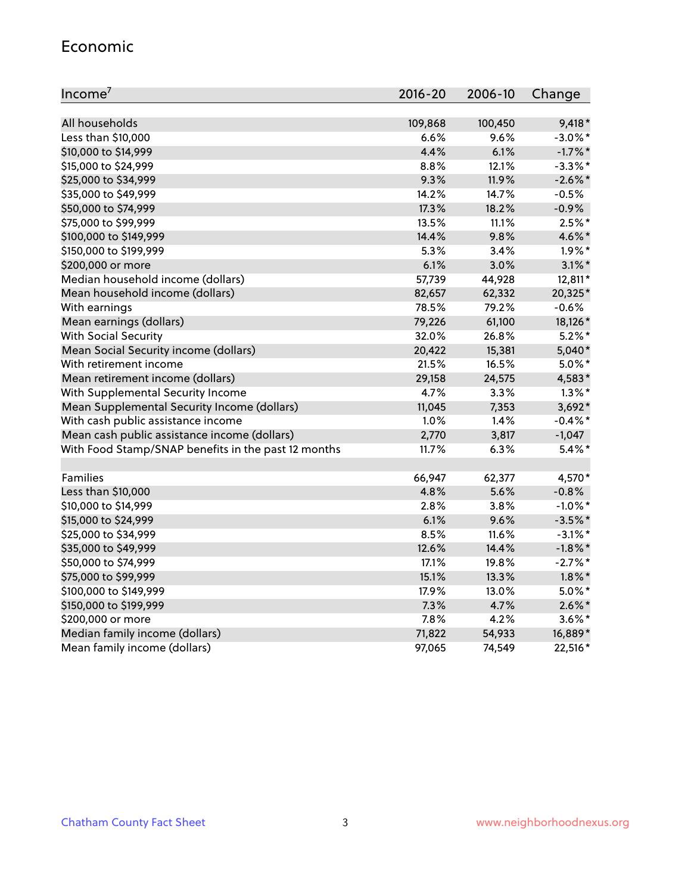#### Economic

| Income <sup>7</sup>                                 | $2016 - 20$ | 2006-10 | Change     |
|-----------------------------------------------------|-------------|---------|------------|
|                                                     |             |         |            |
| All households                                      | 109,868     | 100,450 | $9,418*$   |
| Less than \$10,000                                  | 6.6%        | 9.6%    | $-3.0\%$ * |
| \$10,000 to \$14,999                                | 4.4%        | 6.1%    | $-1.7\%$ * |
| \$15,000 to \$24,999                                | 8.8%        | 12.1%   | $-3.3\%$ * |
| \$25,000 to \$34,999                                | 9.3%        | 11.9%   | $-2.6\%$ * |
| \$35,000 to \$49,999                                | 14.2%       | 14.7%   | $-0.5%$    |
| \$50,000 to \$74,999                                | 17.3%       | 18.2%   | $-0.9%$    |
| \$75,000 to \$99,999                                | 13.5%       | 11.1%   | $2.5%$ *   |
| \$100,000 to \$149,999                              | 14.4%       | 9.8%    | 4.6%*      |
| \$150,000 to \$199,999                              | 5.3%        | 3.4%    | $1.9\%$ *  |
| \$200,000 or more                                   | 6.1%        | 3.0%    | $3.1\%$ *  |
| Median household income (dollars)                   | 57,739      | 44,928  | 12,811*    |
| Mean household income (dollars)                     | 82,657      | 62,332  | 20,325*    |
| With earnings                                       | 78.5%       | 79.2%   | $-0.6%$    |
| Mean earnings (dollars)                             | 79,226      | 61,100  | 18,126*    |
| <b>With Social Security</b>                         | 32.0%       | 26.8%   | $5.2\%$ *  |
| Mean Social Security income (dollars)               | 20,422      | 15,381  | 5,040*     |
| With retirement income                              | 21.5%       | 16.5%   | $5.0\%$ *  |
| Mean retirement income (dollars)                    | 29,158      | 24,575  | 4,583*     |
| With Supplemental Security Income                   | 4.7%        | $3.3\%$ | $1.3\%$ *  |
| Mean Supplemental Security Income (dollars)         | 11,045      | 7,353   | $3,692*$   |
| With cash public assistance income                  | 1.0%        | 1.4%    | $-0.4\%$ * |
| Mean cash public assistance income (dollars)        | 2,770       | 3,817   | $-1,047$   |
| With Food Stamp/SNAP benefits in the past 12 months | 11.7%       | 6.3%    | $5.4\%$ *  |
|                                                     |             |         |            |
| Families                                            | 66,947      | 62,377  | 4,570*     |
| Less than \$10,000                                  | 4.8%        | 5.6%    | $-0.8%$    |
| \$10,000 to \$14,999                                | 2.8%        | 3.8%    | $-1.0\%$ * |
| \$15,000 to \$24,999                                | 6.1%        | 9.6%    | $-3.5%$ *  |
| \$25,000 to \$34,999                                | 8.5%        | 11.6%   | $-3.1\%$ * |
| \$35,000 to \$49,999                                | 12.6%       | 14.4%   | $-1.8\%$ * |
| \$50,000 to \$74,999                                | 17.1%       | 19.8%   | $-2.7\%$ * |
| \$75,000 to \$99,999                                | 15.1%       | 13.3%   | $1.8\%$ *  |
| \$100,000 to \$149,999                              | 17.9%       | 13.0%   | $5.0\%$ *  |
| \$150,000 to \$199,999                              | 7.3%        | 4.7%    | $2.6\%$ *  |
| \$200,000 or more                                   | 7.8%        | 4.2%    | $3.6\%$ *  |
| Median family income (dollars)                      | 71,822      | 54,933  | 16,889*    |
| Mean family income (dollars)                        | 97,065      | 74,549  | 22,516*    |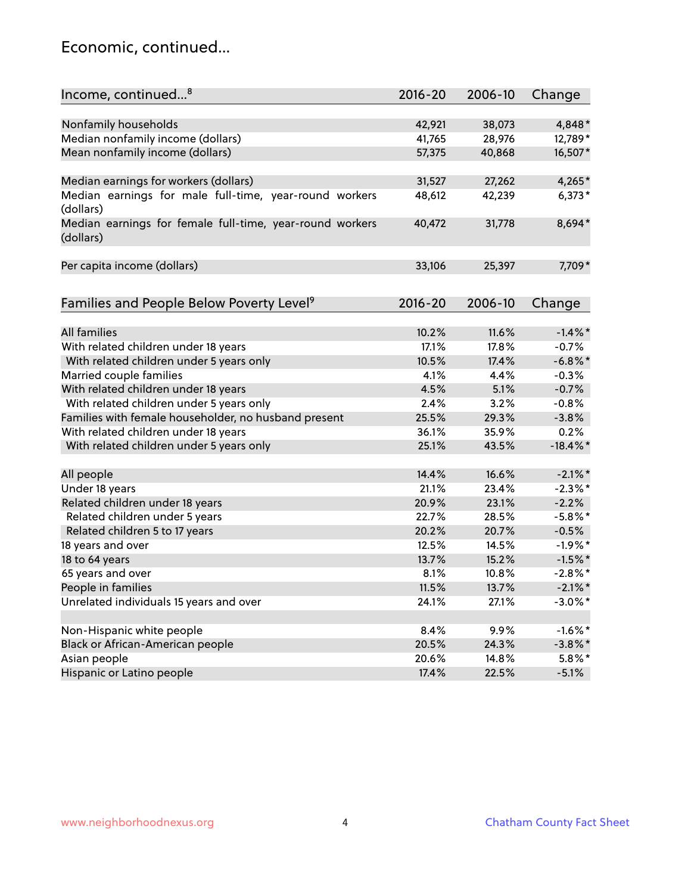#### Economic, continued...

| Income, continued <sup>8</sup>                                        | $2016 - 20$ | 2006-10 | Change      |
|-----------------------------------------------------------------------|-------------|---------|-------------|
|                                                                       |             |         |             |
| Nonfamily households                                                  | 42,921      | 38,073  | 4,848*      |
| Median nonfamily income (dollars)                                     | 41,765      | 28,976  | 12,789*     |
| Mean nonfamily income (dollars)                                       | 57,375      | 40,868  | 16,507*     |
| Median earnings for workers (dollars)                                 | 31,527      | 27,262  | $4,265*$    |
| Median earnings for male full-time, year-round workers<br>(dollars)   | 48,612      | 42,239  | $6,373*$    |
| Median earnings for female full-time, year-round workers<br>(dollars) | 40,472      | 31,778  | 8,694*      |
| Per capita income (dollars)                                           | 33,106      | 25,397  | 7,709*      |
| Families and People Below Poverty Level <sup>9</sup>                  | $2016 - 20$ | 2006-10 | Change      |
|                                                                       |             |         |             |
| <b>All families</b>                                                   | 10.2%       | 11.6%   | $-1.4\%$ *  |
| With related children under 18 years                                  | 17.1%       | 17.8%   | $-0.7%$     |
| With related children under 5 years only                              | 10.5%       | 17.4%   | $-6.8\%$ *  |
| Married couple families                                               | 4.1%        | 4.4%    | $-0.3%$     |
| With related children under 18 years                                  | 4.5%        | 5.1%    | $-0.7%$     |
| With related children under 5 years only                              | 2.4%        | 3.2%    | $-0.8%$     |
| Families with female householder, no husband present                  | 25.5%       | 29.3%   | $-3.8%$     |
| With related children under 18 years                                  | 36.1%       | 35.9%   | 0.2%        |
| With related children under 5 years only                              | 25.1%       | 43.5%   | $-18.4\%$ * |
| All people                                                            | 14.4%       | 16.6%   | $-2.1\%$ *  |
| Under 18 years                                                        | 21.1%       | 23.4%   | $-2.3\%$ *  |
| Related children under 18 years                                       | 20.9%       | 23.1%   | $-2.2%$     |
| Related children under 5 years                                        | 22.7%       | 28.5%   | $-5.8\%$ *  |
| Related children 5 to 17 years                                        | 20.2%       | 20.7%   | $-0.5%$     |
| 18 years and over                                                     | 12.5%       | 14.5%   | $-1.9%$ *   |
| 18 to 64 years                                                        | 13.7%       | 15.2%   | $-1.5%$ *   |
| 65 years and over                                                     | 8.1%        | 10.8%   | $-2.8\%$ *  |
| People in families                                                    | 11.5%       | 13.7%   | $-2.1\%$ *  |
| Unrelated individuals 15 years and over                               | 24.1%       | 27.1%   | $-3.0\%$ *  |
|                                                                       |             |         |             |
| Non-Hispanic white people                                             | 8.4%        | 9.9%    | $-1.6\%$ *  |
| Black or African-American people                                      | 20.5%       | 24.3%   | $-3.8\%$ *  |
| Asian people                                                          | 20.6%       | 14.8%   | 5.8%*       |
| Hispanic or Latino people                                             | 17.4%       | 22.5%   | $-5.1%$     |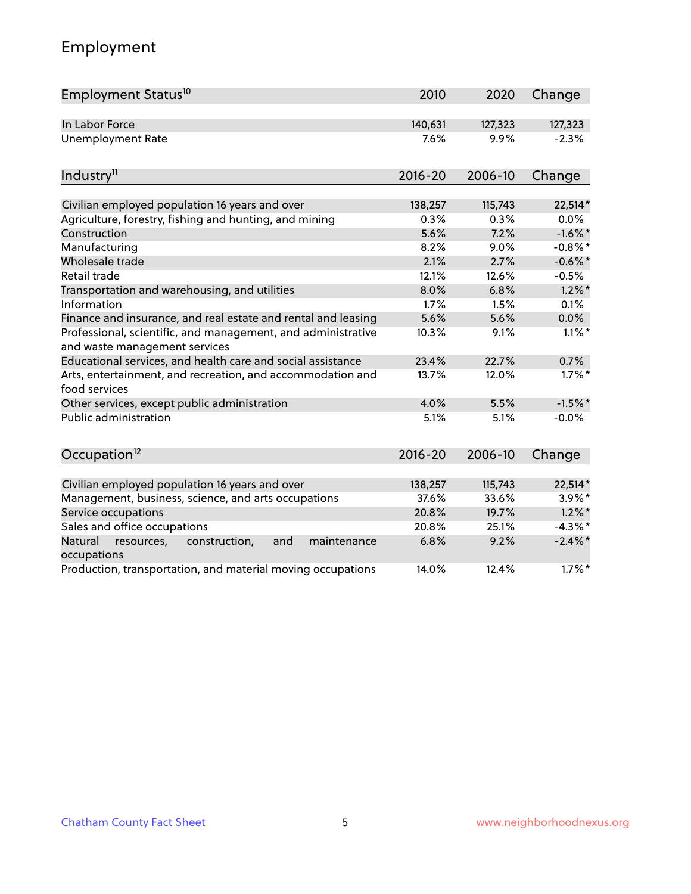### Employment

| Employment Status <sup>10</sup>                                                               | 2010        | 2020    | Change     |
|-----------------------------------------------------------------------------------------------|-------------|---------|------------|
| In Labor Force                                                                                | 140,631     | 127,323 | 127,323    |
| <b>Unemployment Rate</b>                                                                      | 7.6%        | 9.9%    | $-2.3%$    |
| Industry <sup>11</sup>                                                                        | $2016 - 20$ | 2006-10 | Change     |
| Civilian employed population 16 years and over                                                | 138,257     | 115,743 | 22,514*    |
| Agriculture, forestry, fishing and hunting, and mining                                        | 0.3%        | 0.3%    | 0.0%       |
| Construction                                                                                  | 5.6%        | 7.2%    | $-1.6\%$ * |
| Manufacturing                                                                                 | 8.2%        | 9.0%    | $-0.8\%$ * |
| Wholesale trade                                                                               | 2.1%        | 2.7%    | $-0.6\%$ * |
| Retail trade                                                                                  | 12.1%       | 12.6%   | $-0.5%$    |
| Transportation and warehousing, and utilities                                                 | 8.0%        | 6.8%    | $1.2\%$ *  |
| Information                                                                                   | 1.7%        | 1.5%    | 0.1%       |
| Finance and insurance, and real estate and rental and leasing                                 | 5.6%        | 5.6%    | $0.0\%$    |
| Professional, scientific, and management, and administrative<br>and waste management services | 10.3%       | 9.1%    | $1.1\%$ *  |
| Educational services, and health care and social assistance                                   | 23.4%       | 22.7%   | 0.7%       |
| Arts, entertainment, and recreation, and accommodation and<br>food services                   | 13.7%       | 12.0%   | $1.7\%$ *  |
| Other services, except public administration                                                  | 4.0%        | 5.5%    | $-1.5%$ *  |
| <b>Public administration</b>                                                                  | 5.1%        | 5.1%    | $-0.0%$    |
| Occupation <sup>12</sup>                                                                      | $2016 - 20$ | 2006-10 | Change     |
| Civilian employed population 16 years and over                                                | 138,257     | 115,743 | 22,514*    |
| Management, business, science, and arts occupations                                           | 37.6%       | 33.6%   | 3.9%*      |
| Service occupations                                                                           | 20.8%       | 19.7%   | $1.2\%$ *  |
| Sales and office occupations                                                                  | 20.8%       | 25.1%   | $-4.3\%$ * |
| Natural<br>resources,<br>construction,<br>and<br>maintenance<br>occupations                   | 6.8%        | 9.2%    | $-2.4\%$ * |
| Production, transportation, and material moving occupations                                   | 14.0%       | 12.4%   | $1.7\%$ *  |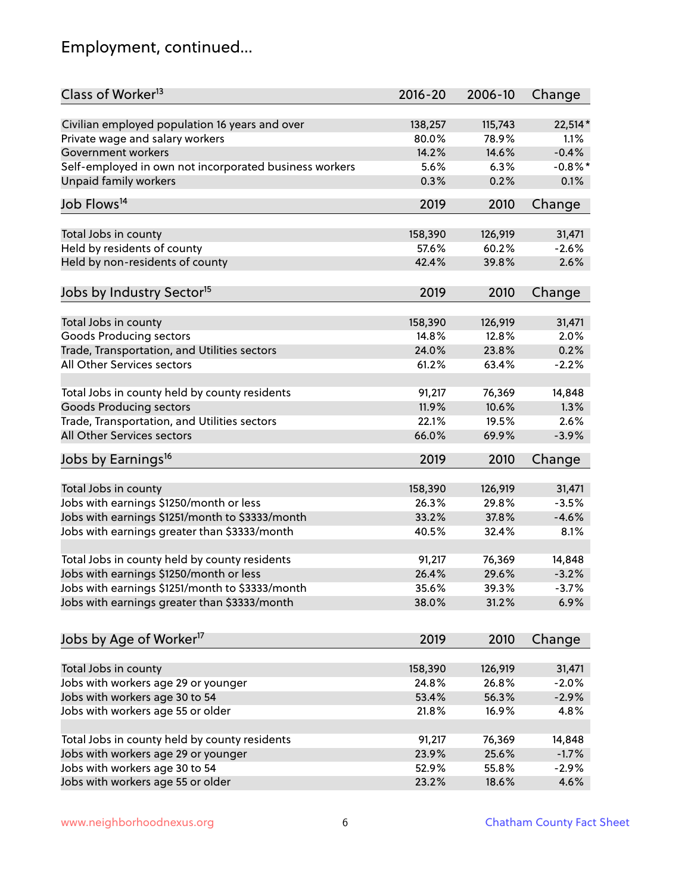### Employment, continued...

| Class of Worker <sup>13</sup>                          | $2016 - 20$ | 2006-10 | Change     |
|--------------------------------------------------------|-------------|---------|------------|
| Civilian employed population 16 years and over         | 138,257     | 115,743 | 22,514*    |
| Private wage and salary workers                        | 80.0%       | 78.9%   | 1.1%       |
| Government workers                                     | 14.2%       | 14.6%   | $-0.4%$    |
| Self-employed in own not incorporated business workers | 5.6%        | 6.3%    | $-0.8\%$ * |
| <b>Unpaid family workers</b>                           | 0.3%        | 0.2%    | 0.1%       |
| Job Flows <sup>14</sup>                                | 2019        | 2010    | Change     |
|                                                        |             |         |            |
| Total Jobs in county                                   | 158,390     | 126,919 | 31,471     |
| Held by residents of county                            | 57.6%       | 60.2%   | $-2.6%$    |
| Held by non-residents of county                        | 42.4%       | 39.8%   | 2.6%       |
| Jobs by Industry Sector <sup>15</sup>                  | 2019        | 2010    | Change     |
| Total Jobs in county                                   | 158,390     | 126,919 | 31,471     |
| <b>Goods Producing sectors</b>                         | 14.8%       | 12.8%   | 2.0%       |
| Trade, Transportation, and Utilities sectors           | 24.0%       | 23.8%   | 0.2%       |
| All Other Services sectors                             | 61.2%       | 63.4%   | $-2.2%$    |
|                                                        |             |         |            |
| Total Jobs in county held by county residents          | 91,217      | 76,369  | 14,848     |
| <b>Goods Producing sectors</b>                         | 11.9%       | 10.6%   | 1.3%       |
| Trade, Transportation, and Utilities sectors           | 22.1%       | 19.5%   | 2.6%       |
| All Other Services sectors                             | 66.0%       | 69.9%   | $-3.9%$    |
| Jobs by Earnings <sup>16</sup>                         | 2019        | 2010    | Change     |
| Total Jobs in county                                   | 158,390     | 126,919 | 31,471     |
| Jobs with earnings \$1250/month or less                | 26.3%       | 29.8%   | $-3.5%$    |
| Jobs with earnings \$1251/month to \$3333/month        | 33.2%       | 37.8%   | $-4.6%$    |
|                                                        |             | 32.4%   | 8.1%       |
| Jobs with earnings greater than \$3333/month           | 40.5%       |         |            |
| Total Jobs in county held by county residents          | 91,217      | 76,369  | 14,848     |
| Jobs with earnings \$1250/month or less                | 26.4%       | 29.6%   | $-3.2%$    |
| Jobs with earnings \$1251/month to \$3333/month        | 35.6%       | 39.3%   | $-3.7%$    |
| Jobs with earnings greater than \$3333/month           | 38.0%       | 31.2%   | 6.9%       |
|                                                        |             |         |            |
| Jobs by Age of Worker <sup>17</sup>                    | 2019        | 2010    | Change     |
| Total Jobs in county                                   | 158,390     | 126,919 | 31,471     |
| Jobs with workers age 29 or younger                    | 24.8%       | 26.8%   | $-2.0%$    |
| Jobs with workers age 30 to 54                         | 53.4%       | 56.3%   | $-2.9%$    |
| Jobs with workers age 55 or older                      | 21.8%       | 16.9%   | 4.8%       |
|                                                        |             |         |            |
| Total Jobs in county held by county residents          | 91,217      | 76,369  | 14,848     |
| Jobs with workers age 29 or younger                    | 23.9%       | 25.6%   | $-1.7%$    |
| Jobs with workers age 30 to 54                         | 52.9%       | 55.8%   | $-2.9%$    |
| Jobs with workers age 55 or older                      | 23.2%       | 18.6%   | 4.6%       |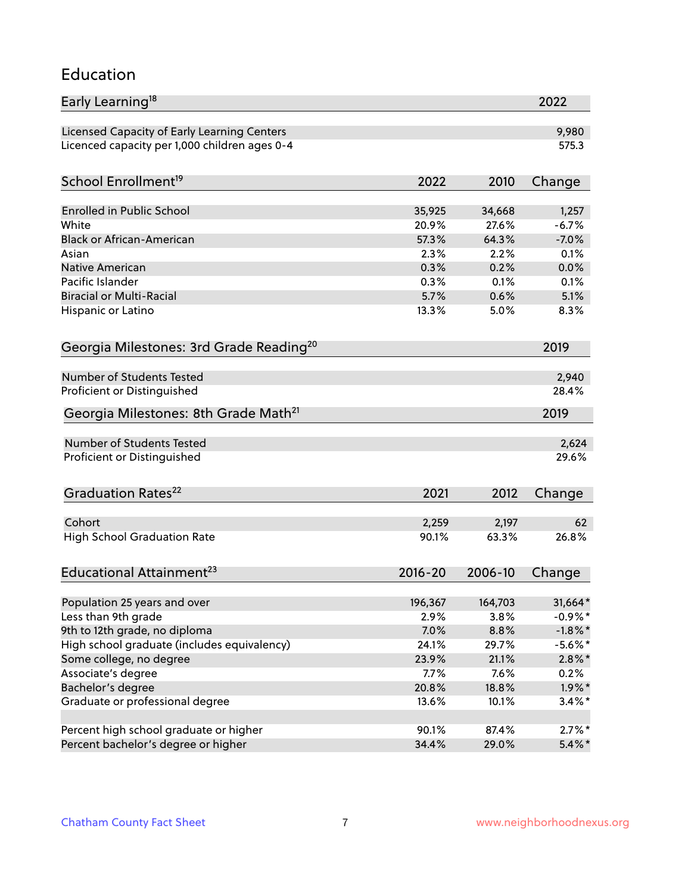#### Education

| Early Learning <sup>18</sup>                        |             |         | 2022        |
|-----------------------------------------------------|-------------|---------|-------------|
| Licensed Capacity of Early Learning Centers         |             |         | 9,980       |
| Licenced capacity per 1,000 children ages 0-4       |             |         | 575.3       |
| School Enrollment <sup>19</sup>                     | 2022        | 2010    | Change      |
|                                                     |             |         |             |
| Enrolled in Public School                           | 35,925      | 34,668  | 1,257       |
| White                                               | 20.9%       | 27.6%   | $-6.7%$     |
| <b>Black or African-American</b>                    | 57.3%       | 64.3%   | $-7.0%$     |
| Asian                                               | 2.3%        | 2.2%    | 0.1%        |
| Native American                                     | 0.3%        | 0.2%    | 0.0%        |
| Pacific Islander                                    | 0.3%        | 0.1%    | 0.1%        |
| <b>Biracial or Multi-Racial</b>                     | 5.7%        | 0.6%    | 5.1%        |
| Hispanic or Latino                                  | 13.3%       | 5.0%    | 8.3%        |
| Georgia Milestones: 3rd Grade Reading <sup>20</sup> |             |         | 2019        |
|                                                     |             |         |             |
| Number of Students Tested                           |             |         | 2,940       |
| Proficient or Distinguished                         |             |         | 28.4%       |
| Georgia Milestones: 8th Grade Math <sup>21</sup>    |             |         | 2019        |
| Number of Students Tested                           |             |         | 2,624       |
| Proficient or Distinguished                         |             |         | 29.6%       |
|                                                     |             |         |             |
| Graduation Rates <sup>22</sup>                      | 2021        | 2012    | Change      |
| Cohort                                              |             |         |             |
|                                                     | 2,259       | 2,197   | 62<br>26.8% |
| <b>High School Graduation Rate</b>                  | 90.1%       | 63.3%   |             |
| Educational Attainment <sup>23</sup>                | $2016 - 20$ | 2006-10 | Change      |
| Population 25 years and over                        | 196,367     | 164,703 | 31,664*     |
| Less than 9th grade                                 | 2.9%        | 3.8%    | $-0.9%$ *   |
| 9th to 12th grade, no diploma                       | 7.0%        | 8.8%    | $-1.8\%$ *  |
| High school graduate (includes equivalency)         | 24.1%       | 29.7%   | $-5.6\%$ *  |
| Some college, no degree                             | 23.9%       | 21.1%   | $2.8\%$ *   |
|                                                     |             |         |             |
| Associate's degree                                  | 7.7%        | 7.6%    | 0.2%        |
| Bachelor's degree                                   | 20.8%       | 18.8%   | $1.9\%$ *   |
| Graduate or professional degree                     | 13.6%       | 10.1%   | $3.4\%$ *   |
| Percent high school graduate or higher              | 90.1%       | 87.4%   | $2.7\%$ *   |
| Percent bachelor's degree or higher                 | 34.4%       | 29.0%   | $5.4\%$ *   |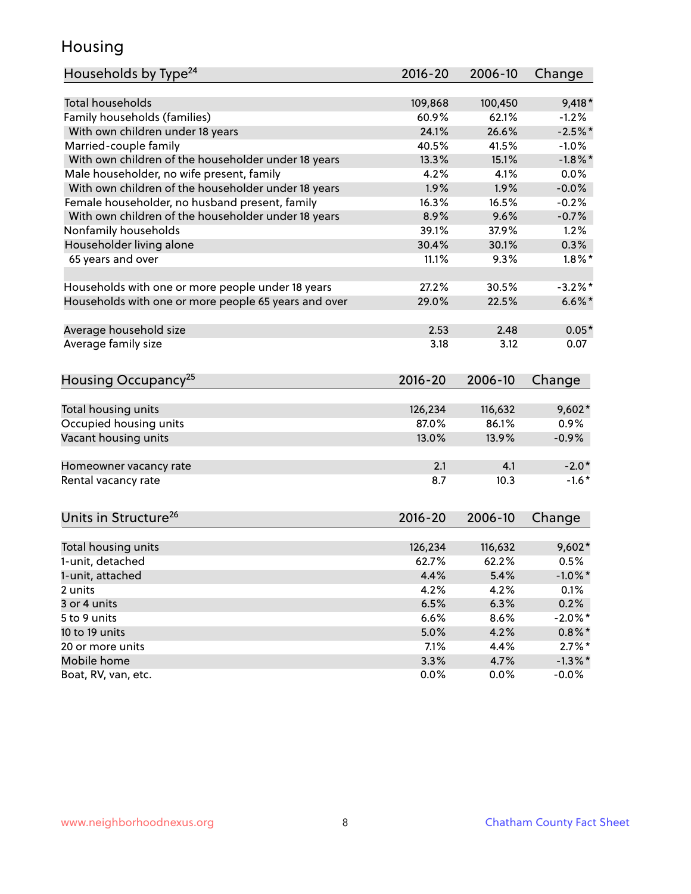#### Housing

| Households by Type <sup>24</sup>                     | 2016-20     | 2006-10 | Change     |
|------------------------------------------------------|-------------|---------|------------|
|                                                      |             |         |            |
| Total households                                     | 109,868     | 100,450 | $9,418*$   |
| Family households (families)                         | 60.9%       | 62.1%   | $-1.2%$    |
| With own children under 18 years                     | 24.1%       | 26.6%   | $-2.5%$ *  |
| Married-couple family                                | 40.5%       | 41.5%   | $-1.0%$    |
| With own children of the householder under 18 years  | 13.3%       | 15.1%   | $-1.8\%$ * |
| Male householder, no wife present, family            | 4.2%        | 4.1%    | 0.0%       |
| With own children of the householder under 18 years  | 1.9%        | 1.9%    | $-0.0%$    |
| Female householder, no husband present, family       | 16.3%       | 16.5%   | $-0.2%$    |
| With own children of the householder under 18 years  | 8.9%        | 9.6%    | $-0.7%$    |
| Nonfamily households                                 | 39.1%       | 37.9%   | 1.2%       |
| Householder living alone                             | 30.4%       | 30.1%   | 0.3%       |
| 65 years and over                                    | 11.1%       | 9.3%    | $1.8\%$ *  |
|                                                      |             |         |            |
| Households with one or more people under 18 years    | 27.2%       | 30.5%   | $-3.2\%$ * |
| Households with one or more people 65 years and over | 29.0%       | 22.5%   | $6.6\%$ *  |
|                                                      |             |         |            |
| Average household size                               | 2.53        | 2.48    | $0.05*$    |
| Average family size                                  | 3.18        | 3.12    | 0.07       |
|                                                      |             |         |            |
| Housing Occupancy <sup>25</sup>                      | $2016 - 20$ | 2006-10 | Change     |
|                                                      |             |         |            |
| Total housing units                                  | 126,234     | 116,632 | $9,602*$   |
| Occupied housing units                               | 87.0%       | 86.1%   | 0.9%       |
| Vacant housing units                                 | 13.0%       | 13.9%   | $-0.9\%$   |
|                                                      |             |         |            |
| Homeowner vacancy rate                               | 2.1         | 4.1     | $-2.0*$    |
| Rental vacancy rate                                  | 8.7         | 10.3    | $-1.6*$    |
|                                                      |             |         |            |
|                                                      |             |         |            |
| Units in Structure <sup>26</sup>                     | $2016 - 20$ | 2006-10 | Change     |
|                                                      |             |         |            |
| Total housing units                                  | 126,234     | 116,632 | $9,602*$   |
| 1-unit, detached                                     | 62.7%       | 62.2%   | 0.5%       |
| 1-unit, attached                                     | 4.4%        | 5.4%    | $-1.0\%$ * |
| 2 units                                              | 4.2%        | 4.2%    | 0.1%       |
| 3 or 4 units                                         | 6.5%        | 6.3%    | 0.2%       |
| 5 to 9 units                                         | 6.6%        | 8.6%    | $-2.0\%$ * |
| 10 to 19 units                                       | 5.0%        | 4.2%    | $0.8\%$ *  |
| 20 or more units                                     | 7.1%        | 4.4%    | $2.7\%$ *  |
| Mobile home                                          | 3.3%        | 4.7%    | $-1.3\%$ * |
| Boat, RV, van, etc.                                  | 0.0%        | 0.0%    | $-0.0\%$   |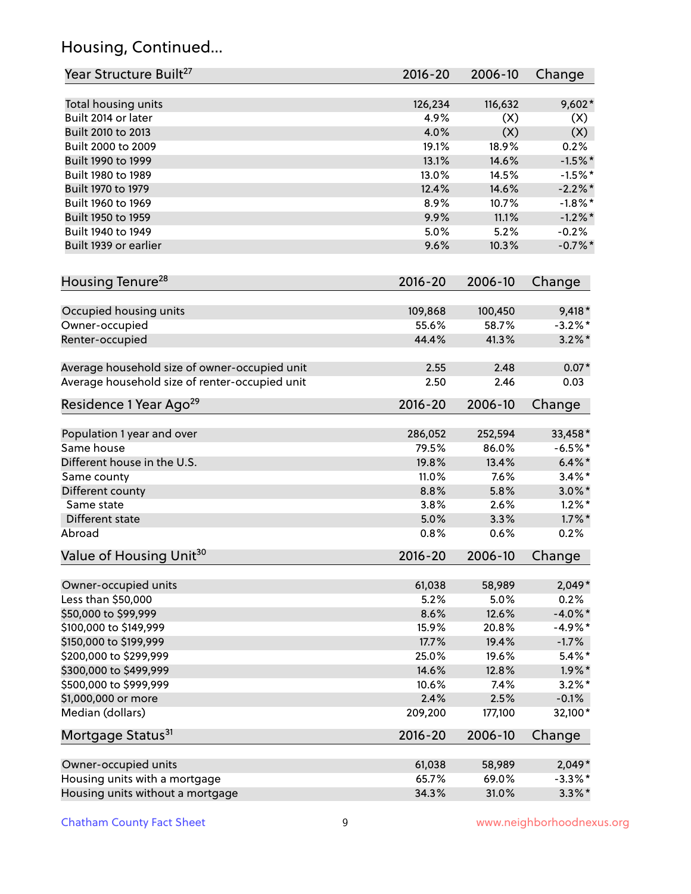### Housing, Continued...

| Year Structure Built <sup>27</sup>             | 2016-20     | 2006-10 | Change     |
|------------------------------------------------|-------------|---------|------------|
| Total housing units                            | 126,234     | 116,632 | $9,602*$   |
| Built 2014 or later                            | 4.9%        | (X)     | (X)        |
| Built 2010 to 2013                             | 4.0%        | (X)     | (X)        |
| Built 2000 to 2009                             | 19.1%       | 18.9%   | 0.2%       |
| Built 1990 to 1999                             | 13.1%       | 14.6%   | $-1.5%$ *  |
| Built 1980 to 1989                             | 13.0%       | 14.5%   | $-1.5%$    |
| Built 1970 to 1979                             | 12.4%       | 14.6%   | $-2.2\%$ * |
| Built 1960 to 1969                             | 8.9%        | 10.7%   | $-1.8\%$ * |
| Built 1950 to 1959                             | 9.9%        | 11.1%   | $-1.2\%$ * |
| Built 1940 to 1949                             | 5.0%        | 5.2%    | $-0.2%$    |
| Built 1939 or earlier                          | 9.6%        | 10.3%   | $-0.7%$ *  |
| Housing Tenure <sup>28</sup>                   | 2016-20     | 2006-10 | Change     |
| Occupied housing units                         | 109,868     | 100,450 | $9,418*$   |
| Owner-occupied                                 | 55.6%       | 58.7%   | $-3.2\%$ * |
| Renter-occupied                                | 44.4%       | 41.3%   | $3.2\%$ *  |
| Average household size of owner-occupied unit  | 2.55        | 2.48    | $0.07*$    |
| Average household size of renter-occupied unit | 2.50        | 2.46    | 0.03       |
| Residence 1 Year Ago <sup>29</sup>             | 2016-20     | 2006-10 | Change     |
| Population 1 year and over                     | 286,052     | 252,594 | 33,458*    |
| Same house                                     | 79.5%       | 86.0%   | $-6.5%$ *  |
| Different house in the U.S.                    | 19.8%       | 13.4%   | $6.4\% *$  |
| Same county                                    | 11.0%       | 7.6%    | $3.4\%$ *  |
| Different county                               | 8.8%        | 5.8%    | $3.0\%$ *  |
| Same state                                     | 3.8%        | 2.6%    | $1.2\%$ *  |
| Different state                                | 5.0%        | 3.3%    | $1.7\%$ *  |
| Abroad                                         | 0.8%        | 0.6%    | 0.2%       |
| Value of Housing Unit <sup>30</sup>            | 2016-20     | 2006-10 | Change     |
| Owner-occupied units                           | 61,038      | 58,989  | $2,049*$   |
| Less than \$50,000                             | 5.2%        | 5.0%    | 0.2%       |
| \$50,000 to \$99,999                           | 8.6%        | 12.6%   | $-4.0\%$ * |
| \$100,000 to \$149,999                         | 15.9%       | 20.8%   | $-4.9%$ *  |
| \$150,000 to \$199,999                         | 17.7%       | 19.4%   | $-1.7%$    |
| \$200,000 to \$299,999                         | 25.0%       | 19.6%   | $5.4\%$ *  |
| \$300,000 to \$499,999                         | 14.6%       | 12.8%   | $1.9\%$ *  |
| \$500,000 to \$999,999                         | 10.6%       | 7.4%    | $3.2\%$ *  |
| \$1,000,000 or more                            | 2.4%        | 2.5%    | $-0.1%$    |
| Median (dollars)                               | 209,200     | 177,100 | 32,100*    |
| Mortgage Status <sup>31</sup>                  | $2016 - 20$ | 2006-10 | Change     |
| Owner-occupied units                           | 61,038      | 58,989  | $2,049*$   |
| Housing units with a mortgage                  | 65.7%       | 69.0%   | $-3.3\%$ * |
| Housing units without a mortgage               | 34.3%       | 31.0%   | $3.3\%$ *  |
|                                                |             |         |            |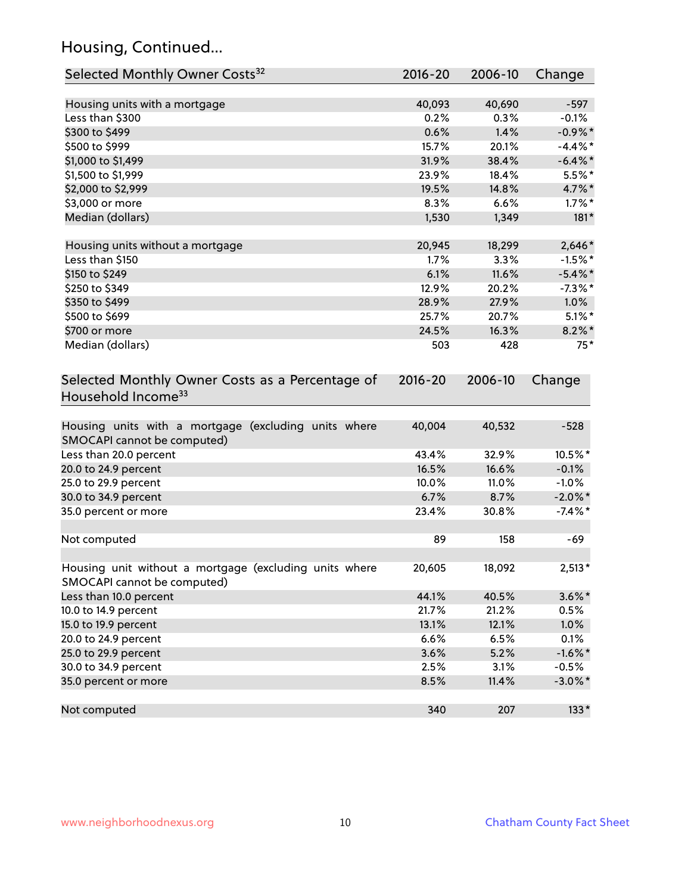### Housing, Continued...

| Selected Monthly Owner Costs <sup>32</sup>                                            | 2016-20 | 2006-10 | Change     |
|---------------------------------------------------------------------------------------|---------|---------|------------|
| Housing units with a mortgage                                                         | 40,093  | 40,690  | $-597$     |
| Less than \$300                                                                       | 0.2%    | 0.3%    | $-0.1%$    |
| \$300 to \$499                                                                        | 0.6%    | 1.4%    | $-0.9\%$ * |
| \$500 to \$999                                                                        | 15.7%   | 20.1%   | $-4.4\%$ * |
| \$1,000 to \$1,499                                                                    | 31.9%   | 38.4%   | $-6.4\%$ * |
| \$1,500 to \$1,999                                                                    | 23.9%   | 18.4%   | $5.5\%$ *  |
| \$2,000 to \$2,999                                                                    | 19.5%   | 14.8%   | 4.7%*      |
| \$3,000 or more                                                                       | 8.3%    | 6.6%    | $1.7\%$ *  |
| Median (dollars)                                                                      | 1,530   | 1,349   | $181*$     |
| Housing units without a mortgage                                                      | 20,945  | 18,299  | 2,646*     |
| Less than \$150                                                                       | 1.7%    | 3.3%    | $-1.5%$ *  |
| \$150 to \$249                                                                        | 6.1%    | 11.6%   | $-5.4\%$ * |
| \$250 to \$349                                                                        | 12.9%   | 20.2%   | $-7.3%$ *  |
| \$350 to \$499                                                                        | 28.9%   | 27.9%   | $1.0\%$    |
| \$500 to \$699                                                                        | 25.7%   | 20.7%   | $5.1\%$ *  |
| \$700 or more                                                                         | 24.5%   | 16.3%   | $8.2\%$ *  |
| Median (dollars)                                                                      | 503     | 428     | $75*$      |
| Selected Monthly Owner Costs as a Percentage of<br>Household Income <sup>33</sup>     |         |         | Change     |
| Housing units with a mortgage (excluding units where<br>SMOCAPI cannot be computed)   | 40,004  | 40,532  | $-528$     |
| Less than 20.0 percent                                                                | 43.4%   | 32.9%   | 10.5%*     |
| 20.0 to 24.9 percent                                                                  | 16.5%   | 16.6%   | $-0.1%$    |
| 25.0 to 29.9 percent                                                                  | 10.0%   | 11.0%   | $-1.0%$    |
| 30.0 to 34.9 percent                                                                  | 6.7%    | 8.7%    | $-2.0\%$ * |
| 35.0 percent or more                                                                  | 23.4%   | 30.8%   | $-7.4\%$ * |
| Not computed                                                                          | 89      | 158     | $-69$      |
| Housing unit without a mortgage (excluding units where<br>SMOCAPI cannot be computed) | 20,605  | 18,092  | $2,513*$   |
| Less than 10.0 percent                                                                | 44.1%   | 40.5%   | $3.6\%$ *  |
| 10.0 to 14.9 percent                                                                  | 21.7%   | 21.2%   | 0.5%       |
| 15.0 to 19.9 percent                                                                  | 13.1%   | 12.1%   | 1.0%       |
| 20.0 to 24.9 percent                                                                  | 6.6%    | 6.5%    | 0.1%       |
| 25.0 to 29.9 percent                                                                  | 3.6%    | 5.2%    | $-1.6\%$ * |
| 30.0 to 34.9 percent                                                                  | 2.5%    | 3.1%    | $-0.5%$    |
| 35.0 percent or more                                                                  | 8.5%    | 11.4%   | $-3.0\%$ * |
| Not computed                                                                          | 340     | 207     | $133*$     |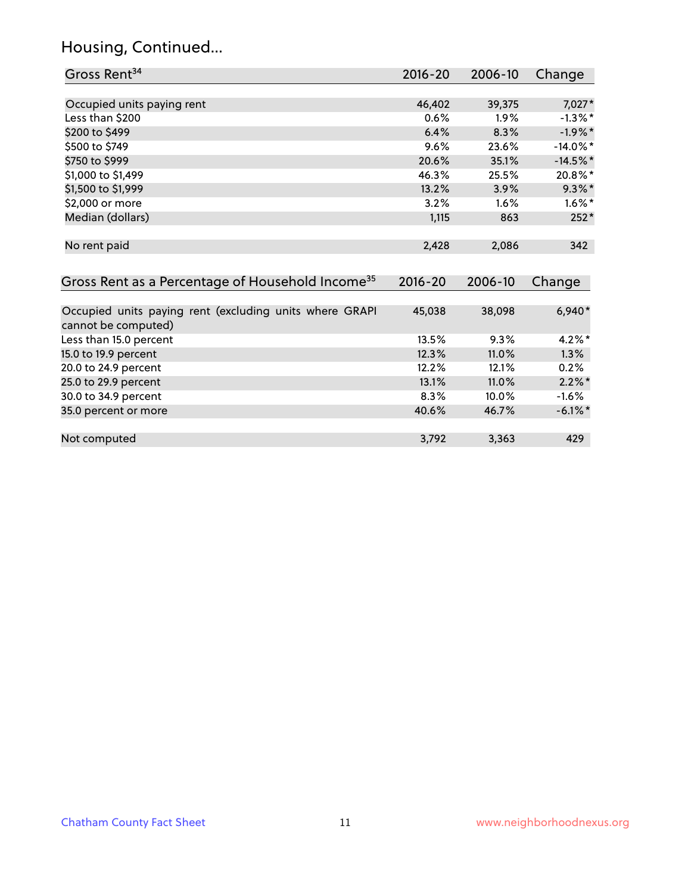### Housing, Continued...

| Gross Rent <sup>34</sup>                                                       | $2016 - 20$ | 2006-10 | Change               |
|--------------------------------------------------------------------------------|-------------|---------|----------------------|
|                                                                                |             |         |                      |
| Occupied units paying rent                                                     | 46,402      | 39,375  | $7,027*$             |
| Less than \$200                                                                | 0.6%        | 1.9%    | $-1.3\%$ *           |
| \$200 to \$499                                                                 | 6.4%        | 8.3%    | $-1.9%$ *            |
| \$500 to \$749                                                                 | 9.6%        | 23.6%   | $-14.0\%$ *          |
| \$750 to \$999                                                                 | 20.6%       | 35.1%   | $-14.5%$ *           |
| \$1,000 to \$1,499                                                             | 46.3%       | 25.5%   | 20.8%*               |
| \$1,500 to \$1,999                                                             | 13.2%       | 3.9%    | $9.3\%$ *            |
| \$2,000 or more                                                                | 3.2%        | 1.6%    | $1.6\%$ *            |
| Median (dollars)                                                               | 1,115       | 863     | $252*$               |
| No rent paid                                                                   | 2,428       | 2,086   | 342                  |
| Gross Rent as a Percentage of Household Income <sup>35</sup>                   | $2016 - 20$ | 2006-10 | Change               |
|                                                                                |             |         |                      |
| Occupied units paying rent (excluding units where GRAPI<br>cannot be computed) | 45,038      | 38,098  | $6,940*$             |
| Less than 15.0 percent                                                         | 13.5%       | 9.3%    | $4.2\%$ *            |
| 15.0 to 19.9 percent                                                           | 12.3%       | 11.0%   | 1.3%                 |
| 20.0 to 24.9 percent                                                           | 12.2%       | 12.1%   | 0.2%                 |
| 25.0 to 29.9 percent                                                           | 13.1%       | 11.0%   | $2.2\%$ <sup>*</sup> |
| 30.0 to 34.9 percent                                                           | 8.3%        | 10.0%   | $-1.6\%$             |
| 35.0 percent or more                                                           | 40.6%       | 46.7%   | $-6.1\%$ *           |
| Not computed                                                                   | 3,792       | 3,363   | 429                  |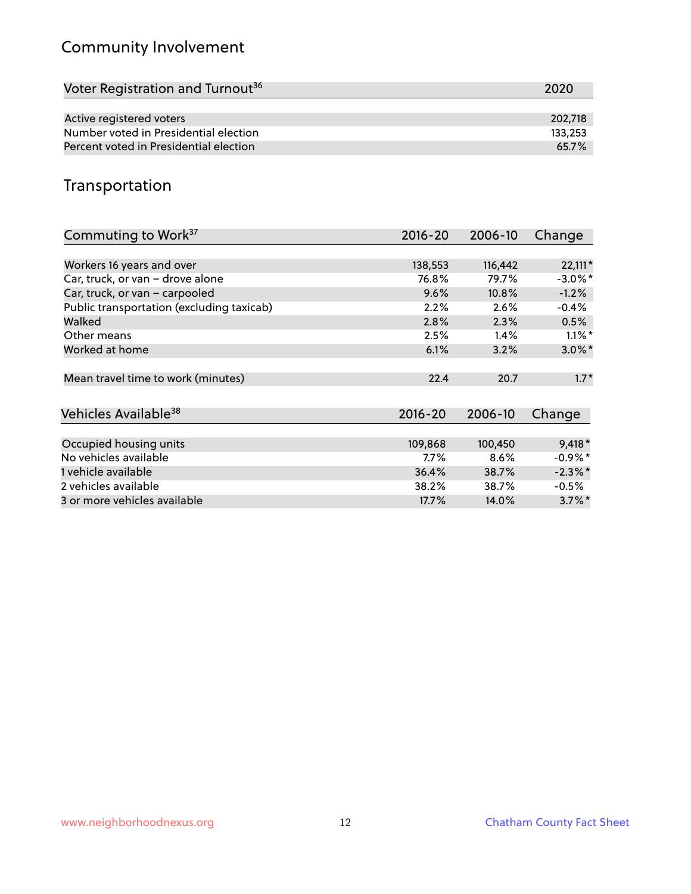### Community Involvement

| Voter Registration and Turnout <sup>36</sup> | 2020    |
|----------------------------------------------|---------|
|                                              |         |
| Active registered voters                     | 202.718 |
| Number voted in Presidential election        | 133,253 |
| Percent voted in Presidential election       | 65.7%   |

#### Transportation

| Commuting to Work <sup>37</sup>           | 2016-20 | 2006-10 | Change               |
|-------------------------------------------|---------|---------|----------------------|
|                                           |         |         |                      |
| Workers 16 years and over                 | 138,553 | 116,442 | 22,111*              |
| Car, truck, or van - drove alone          | 76.8%   | 79.7%   | $-3.0\%$ *           |
| Car, truck, or van - carpooled            | 9.6%    | 10.8%   | $-1.2%$              |
| Public transportation (excluding taxicab) | 2.2%    | 2.6%    | $-0.4%$              |
| Walked                                    | 2.8%    | 2.3%    | 0.5%                 |
| Other means                               | 2.5%    | 1.4%    | $1.1\%$ <sup>*</sup> |
| Worked at home                            | 6.1%    | 3.2%    | $3.0\%$ *            |
| Mean travel time to work (minutes)        | 22.4    | 20.7    | $1.7*$               |
| Vehicles Available <sup>38</sup>          | 2016-20 | 2006-10 | Change               |
| Occupied housing units                    | 109,868 | 100,450 | $9,418*$             |
| No vehicles available                     | 7.7%    | 8.6%    | $-0.9\%$ *           |
| 1 vehicle available                       | 36.4%   | 38.7%   | $-2.3\%*$            |
| 2 vehicles available                      | 38.2%   | 38.7%   | $-0.5%$              |
| 3 or more vehicles available              | 17.7%   | 14.0%   | $3.7\%$ <sup>*</sup> |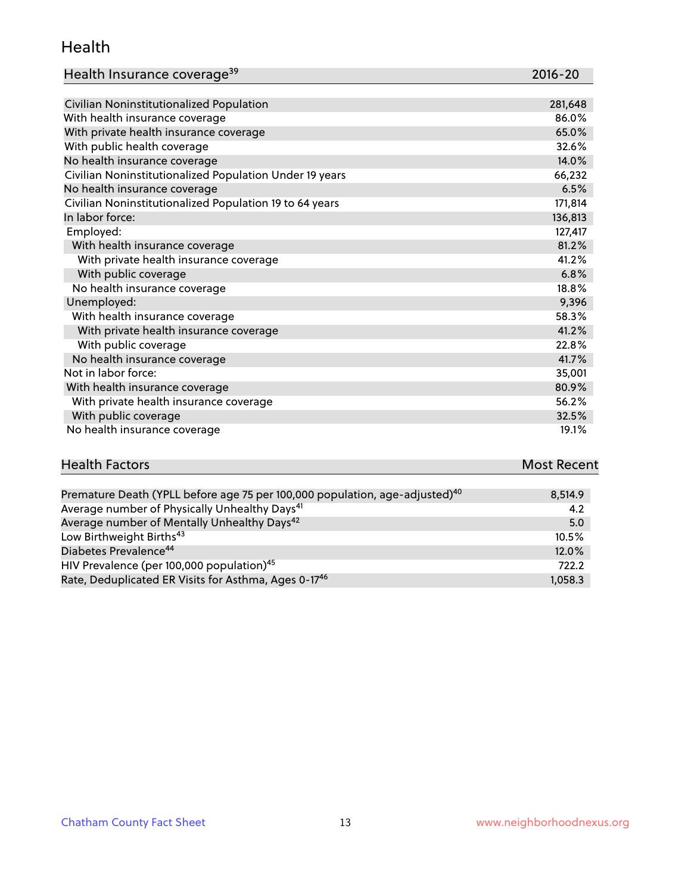#### Health

| Health Insurance coverage <sup>39</sup> | 2016-20 |
|-----------------------------------------|---------|
|-----------------------------------------|---------|

| Civilian Noninstitutionalized Population                | 281,648 |
|---------------------------------------------------------|---------|
| With health insurance coverage                          | 86.0%   |
| With private health insurance coverage                  | 65.0%   |
| With public health coverage                             | 32.6%   |
| No health insurance coverage                            | 14.0%   |
| Civilian Noninstitutionalized Population Under 19 years | 66,232  |
| No health insurance coverage                            | 6.5%    |
| Civilian Noninstitutionalized Population 19 to 64 years | 171,814 |
| In labor force:                                         | 136,813 |
| Employed:                                               | 127,417 |
| With health insurance coverage                          | 81.2%   |
| With private health insurance coverage                  | 41.2%   |
| With public coverage                                    | 6.8%    |
| No health insurance coverage                            | 18.8%   |
| Unemployed:                                             | 9,396   |
| With health insurance coverage                          | 58.3%   |
| With private health insurance coverage                  | 41.2%   |
| With public coverage                                    | 22.8%   |
| No health insurance coverage                            | 41.7%   |
| Not in labor force:                                     | 35,001  |
| With health insurance coverage                          | 80.9%   |
| With private health insurance coverage                  | 56.2%   |
| With public coverage                                    | 32.5%   |
| No health insurance coverage                            | 19.1%   |

# **Health Factors Most Recent**

| Premature Death (YPLL before age 75 per 100,000 population, age-adjusted) <sup>40</sup> | 8.514.9 |
|-----------------------------------------------------------------------------------------|---------|
| Average number of Physically Unhealthy Days <sup>41</sup>                               | 4.2     |
| Average number of Mentally Unhealthy Days <sup>42</sup>                                 | 5.0     |
| Low Birthweight Births <sup>43</sup>                                                    | 10.5%   |
| Diabetes Prevalence <sup>44</sup>                                                       | 12.0%   |
| HIV Prevalence (per 100,000 population) <sup>45</sup>                                   | 722.2   |
| Rate, Deduplicated ER Visits for Asthma, Ages 0-17 <sup>46</sup>                        | 1.058.3 |